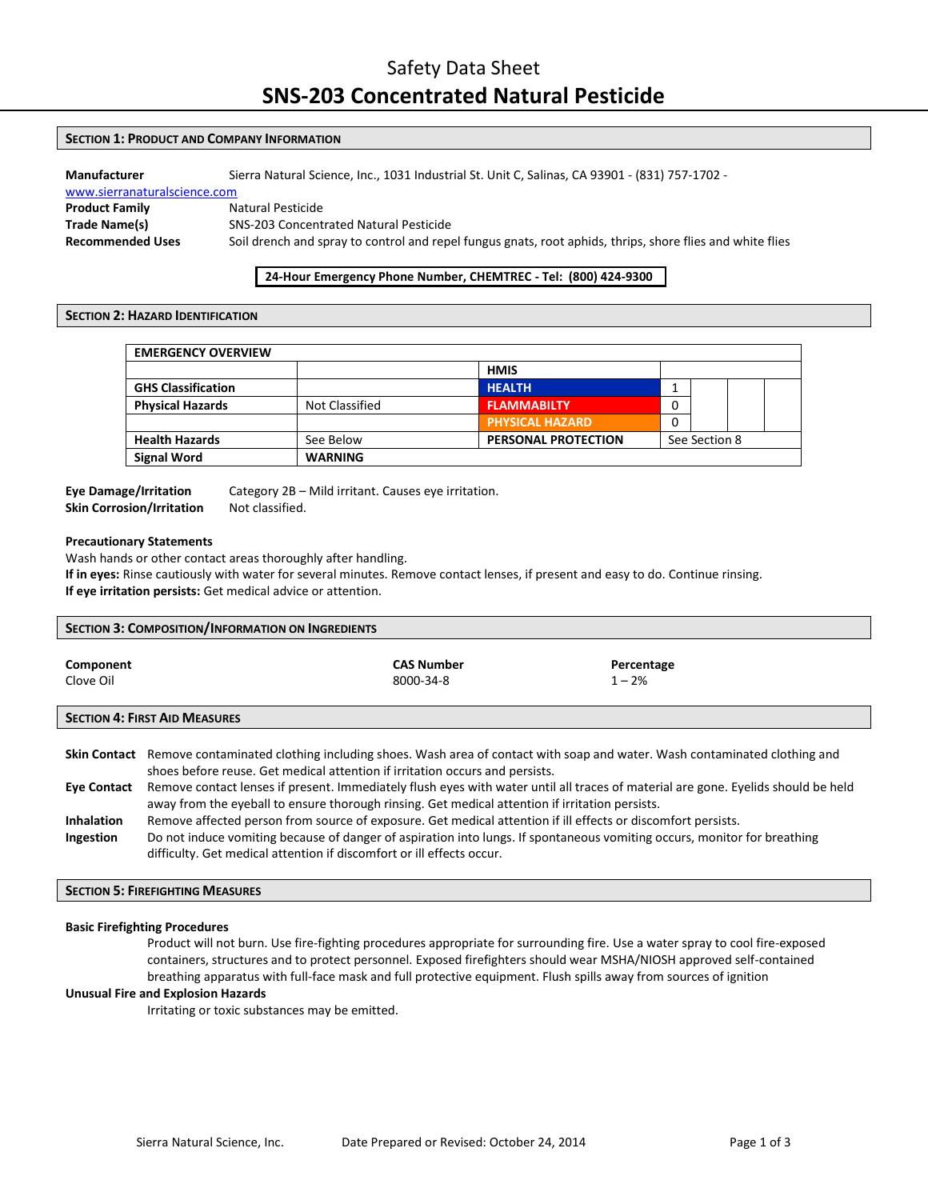# Safety Data Sheet **SNS-203 Concentrated Natural Pesticide**

# **SECTION 1: PRODUCT AND COMPANY INFORMATION**

**Manufacturer** Sierra Natural Science, Inc., 1031 Industrial St. Unit C, Salinas, CA 93901 - (831) 757-1702 [www.sierranaturalscience.com](http://www.sierranaturalscience.com/)  **Product Family Natural Pesticide Trade Name(s)** SNS-203 Concentrated Natural Pesticide **Recommended Uses** Soil drench and spray to control and repel fungus gnats, root aphids, thrips, shore flies and white flies

# **24-Hour Emergency Phone Number, CHEMTREC - Tel: (800) 424-9300**

# **SECTION 2: HAZARD IDENTIFICATION**

| <b>EMERGENCY OVERVIEW</b> |                |                            |               |  |  |
|---------------------------|----------------|----------------------------|---------------|--|--|
|                           |                | <b>HMIS</b>                |               |  |  |
| <b>GHS Classification</b> |                | <b>HEALTH</b>              |               |  |  |
| <b>Physical Hazards</b>   | Not Classified | <b>FLAMMABILTY</b>         |               |  |  |
|                           |                | <b>PHYSICAL HAZARD</b>     |               |  |  |
| <b>Health Hazards</b>     | See Below      | <b>PERSONAL PROTECTION</b> | See Section 8 |  |  |
| <b>Signal Word</b>        | <b>WARNING</b> |                            |               |  |  |

# **Skin Corrosion/Irritation** Not classified.

**Eye Damage/Irritation** Category 2B – Mild irritant. Causes eye irritation.

# **Precautionary Statements**

Wash hands or other contact areas thoroughly after handling.

**If in eyes:** Rinse cautiously with water for several minutes. Remove contact lenses, if present and easy to do. Continue rinsing. **If eye irritation persists:** Get medical advice or attention.

| <b>SECTION 3: COMPOSITION/INFORMATION ON INGREDIENTS</b> |                                |                        |
|----------------------------------------------------------|--------------------------------|------------------------|
| Component<br>Clove Oil                                   | <b>CAS Number</b><br>8000-34-8 | Percentage<br>$1 - 2%$ |
| <b>SECTION 4: FIRST AID MEASURES</b>                     |                                |                        |
|                                                          |                                |                        |

|                    | Skin Contact Remove contaminated clothing including shoes. Wash area of contact with soap and water. Wash contaminated clothing and |
|--------------------|-------------------------------------------------------------------------------------------------------------------------------------|
|                    | shoes before reuse. Get medical attention if irritation occurs and persists.                                                        |
| <b>Eve Contact</b> | Remove contact lenses if present. Immediately flush eyes with water until all traces of material are gone. Eyelids should be held   |
|                    | away from the eyeball to ensure thorough rinsing. Get medical attention if irritation persists.                                     |
| <b>Inhalation</b>  | Remove affected person from source of exposure. Get medical attention if ill effects or discomfort persists.                        |
| Ingestion          | Do not induce vomiting because of danger of aspiration into lungs. If spontaneous vomiting occurs, monitor for breathing            |
|                    | difficulty. Get medical attention if discomfort or ill effects occur.                                                               |

#### **SECTION 5: FIREFIGHTING MEASURES**

#### **Basic Firefighting Procedures**

Product will not burn. Use fire-fighting procedures appropriate for surrounding fire. Use a water spray to cool fire-exposed containers, structures and to protect personnel. Exposed firefighters should wear MSHA/NIOSH approved self-contained breathing apparatus with full-face mask and full protective equipment. Flush spills away from sources of ignition

# **Unusual Fire and Explosion Hazards**

Irritating or toxic substances may be emitted.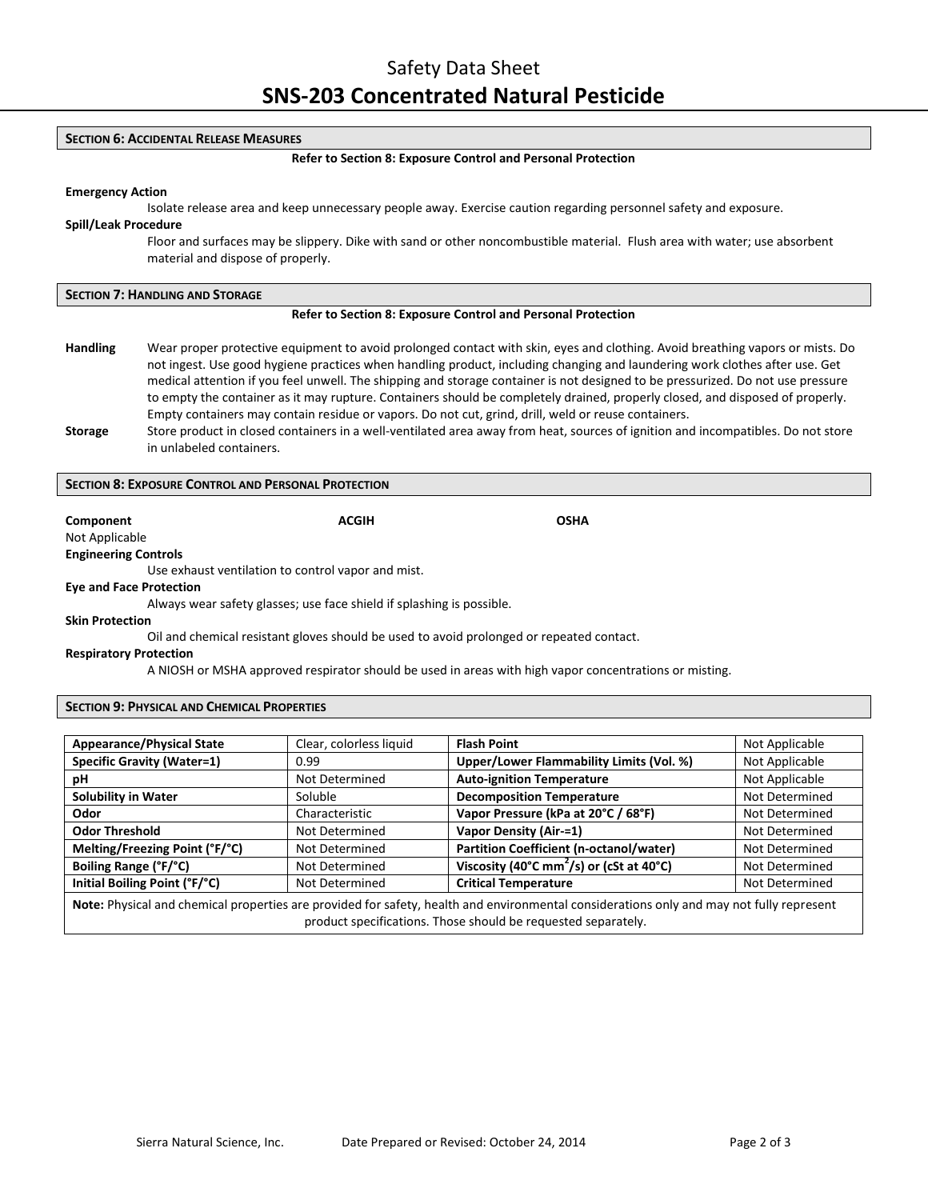#### **SECTION 6: ACCIDENTAL RELEASE MEASURES**

#### **Refer to Section 8: Exposure Control and Personal Protection**

#### **Emergency Action**

Isolate release area and keep unnecessary people away. Exercise caution regarding personnel safety and exposure.

# **Spill/Leak Procedure**

Floor and surfaces may be slippery. Dike with sand or other noncombustible material. Flush area with water; use absorbent material and dispose of properly.

| <b>SECTION 7: HANDLING AND STORAGE</b><br><b>Refer to Section 8: Exposure Control and Personal Protection</b> |                                                                                                                                                              |  |
|---------------------------------------------------------------------------------------------------------------|--------------------------------------------------------------------------------------------------------------------------------------------------------------|--|
|                                                                                                               |                                                                                                                                                              |  |
| <b>Storage</b>                                                                                                | Store product in closed containers in a well-ventilated area away from heat, sources of ignition and incompatibles. Do not store<br>in unlabeled containers. |  |

# **SECTION 8: EXPOSURE CONTROL AND PERSONAL PROTECTION**

**Component Component ACGIH COMPONENT ACGIH OSHA** 

Not Applicable **Engineering Controls**

Use exhaust ventilation to control vapor and mist.

#### **Eye and Face Protection**

Always wear safety glasses; use face shield if splashing is possible.

#### **Skin Protection**

Oil and chemical resistant gloves should be used to avoid prolonged or repeated contact.

#### **Respiratory Protection**

A NIOSH or MSHA approved respirator should be used in areas with high vapor concentrations or misting.

# **SECTION 9: PHYSICAL AND CHEMICAL PROPERTIES**

| <b>Appearance/Physical State</b>                                                                                                         | Clear, colorless liquid | <b>Flash Point</b>                                   | Not Applicable |
|------------------------------------------------------------------------------------------------------------------------------------------|-------------------------|------------------------------------------------------|----------------|
| <b>Specific Gravity (Water=1)</b>                                                                                                        | 0.99                    | Upper/Lower Flammability Limits (Vol. %)             | Not Applicable |
| рH                                                                                                                                       | Not Determined          | <b>Auto-ignition Temperature</b>                     | Not Applicable |
| <b>Solubility in Water</b>                                                                                                               | Soluble                 | <b>Decomposition Temperature</b>                     | Not Determined |
| Odor                                                                                                                                     | Characteristic          | Vapor Pressure (kPa at 20°C / 68°F)                  | Not Determined |
| <b>Odor Threshold</b>                                                                                                                    | Not Determined          | Vapor Density (Air-=1)                               | Not Determined |
| Melting/Freezing Point (°F/°C)                                                                                                           | Not Determined          | Partition Coefficient (n-octanol/water)              | Not Determined |
| Boiling Range (°F/°C)                                                                                                                    | Not Determined          | Viscosity (40°C mm <sup>2</sup> /s) or (cSt at 40°C) | Not Determined |
| Initial Boiling Point (°F/°C)                                                                                                            | Not Determined          | <b>Critical Temperature</b>                          | Not Determined |
| Note: Physical and chemical properties are provided for safety, health and environmental considerations only and may not fully represent |                         |                                                      |                |

product specifications. Those should be requested separately.